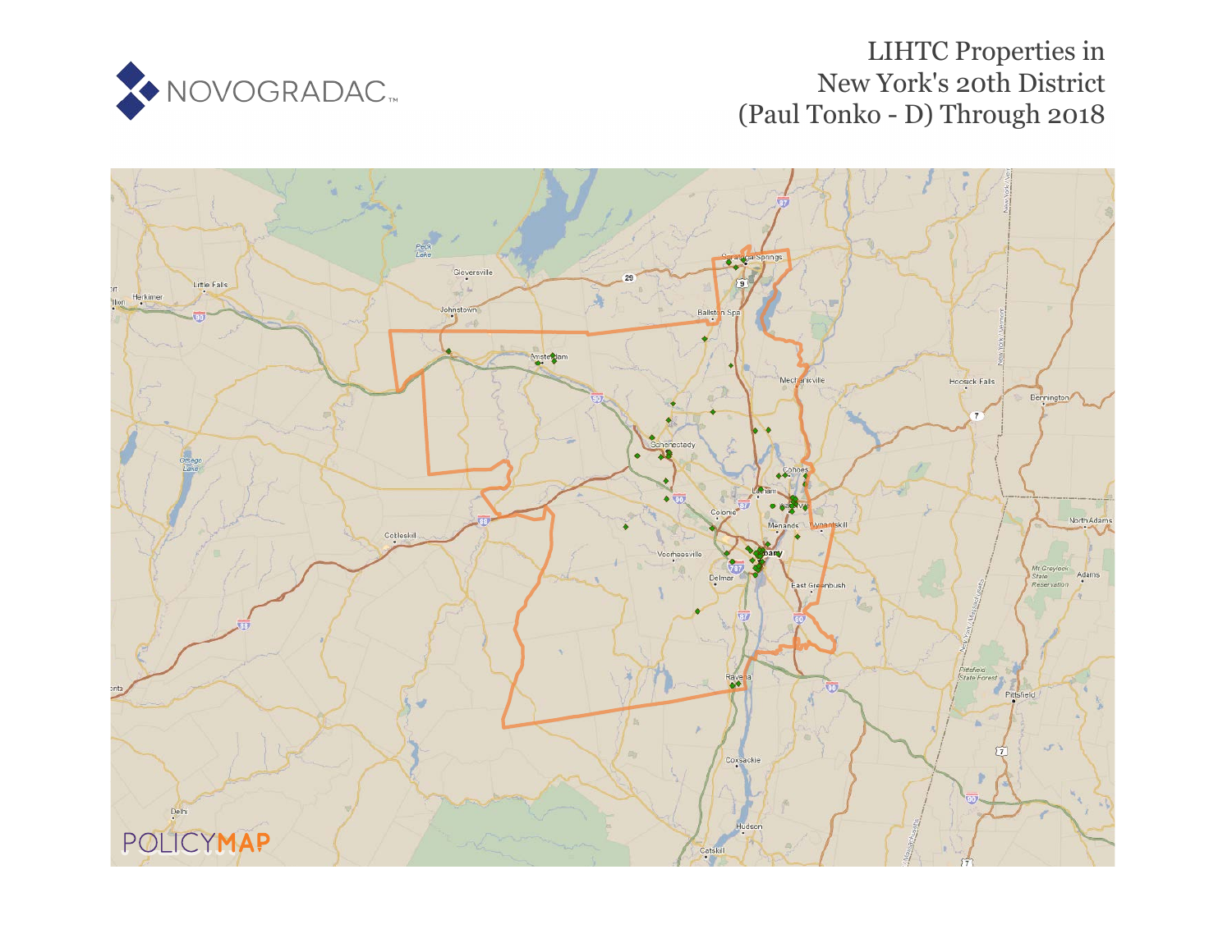

# LIHTC Properties in New York's 20th District (Paul Tonko - D) Through 2018

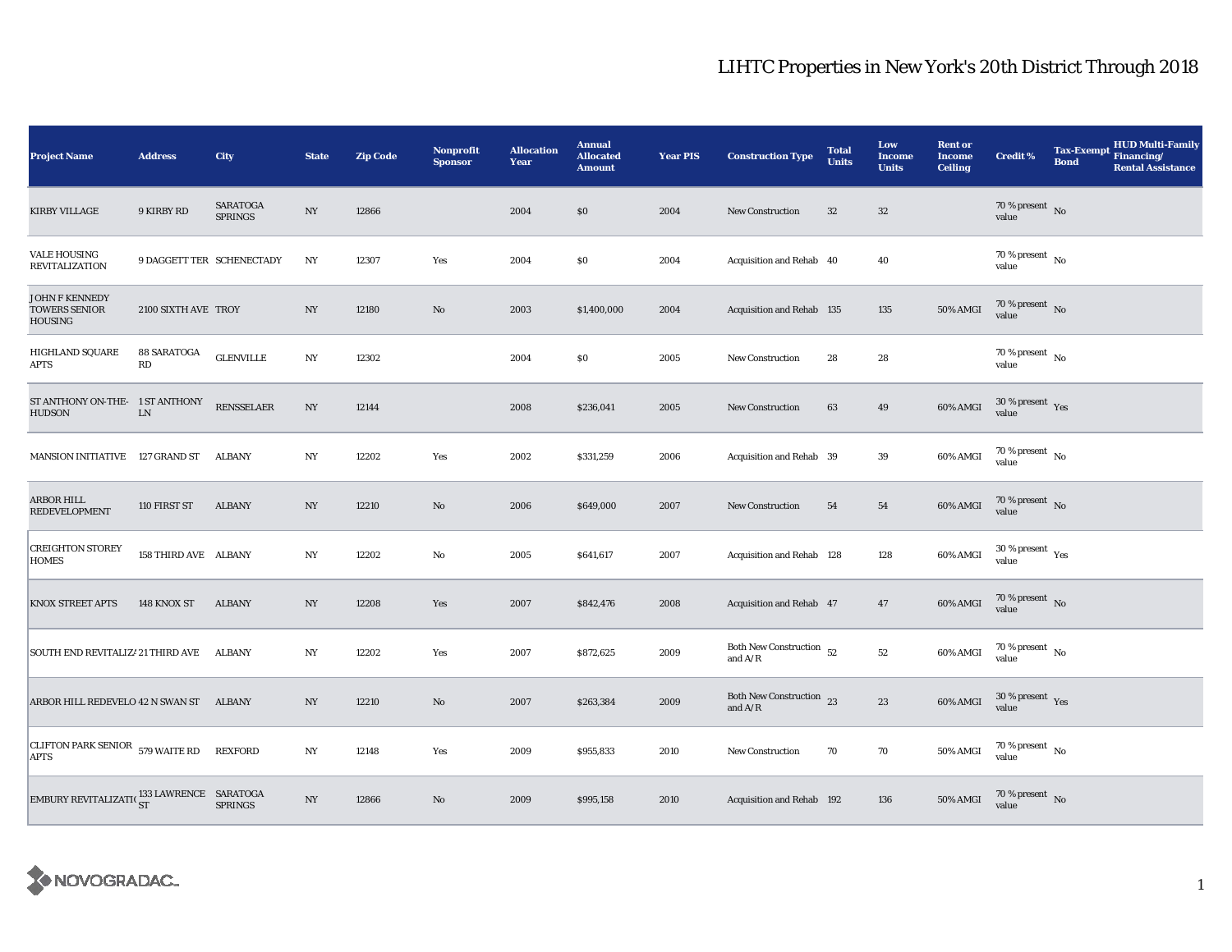| <b>Project Name</b>                                             | <b>Address</b>            | City                              | <b>State</b>     | <b>Zip Code</b> | Nonprofit<br><b>Sponsor</b> | <b>Allocation</b><br>Year | <b>Annual</b><br><b>Allocated</b><br><b>Amount</b> | <b>Year PIS</b> | <b>Construction Type</b>                   | <b>Total</b><br><b>Units</b> | Low<br><b>Income</b><br><b>Units</b> | <b>Rent or</b><br><b>Income</b><br><b>Ceiling</b> | <b>Credit %</b>                        | <b>Tax-Exempt</b><br><b>Bond</b> | <b>HUD Multi-Family</b><br>Financing/<br><b>Rental Assistance</b> |
|-----------------------------------------------------------------|---------------------------|-----------------------------------|------------------|-----------------|-----------------------------|---------------------------|----------------------------------------------------|-----------------|--------------------------------------------|------------------------------|--------------------------------------|---------------------------------------------------|----------------------------------------|----------------------------------|-------------------------------------------------------------------|
| <b>KIRBY VILLAGE</b>                                            | 9 KIRBY RD                | <b>SARATOGA</b><br><b>SPRINGS</b> | NY               | 12866           |                             | 2004                      | \$0                                                | 2004            | <b>New Construction</b>                    | $32\,$                       | $32\,$                               |                                                   | $70\,\%$ present $\,$ No value         |                                  |                                                                   |
| <b>VALE HOUSING</b><br>REVITALIZATION                           | 9 DAGGETT TER SCHENECTADY |                                   | NY               | 12307           | Yes                         | 2004                      | \$0                                                | 2004            | Acquisition and Rehab 40                   |                              | 40                                   |                                                   | 70 % present $\,$ No $\,$<br>value     |                                  |                                                                   |
| <b>JOHN F KENNEDY</b><br><b>TOWERS SENIOR</b><br><b>HOUSING</b> | 2100 SIXTH AVE TROY       |                                   | NY               | 12180           | No                          | 2003                      | \$1,400,000                                        | 2004            | Acquisition and Rehab 135                  |                              | 135                                  | 50% AMGI                                          | 70 % present $\hbox{~No}$<br>value     |                                  |                                                                   |
| <b>HIGHLAND SQUARE</b><br>APTS                                  | 88 SARATOGA<br>RD         | <b>GLENVILLE</b>                  | NY               | 12302           |                             | 2004                      | S <sub>0</sub>                                     | 2005            | <b>New Construction</b>                    | 28                           | 28                                   |                                                   | 70 % present $\hbox{~No}$<br>value     |                                  |                                                                   |
| ST ANTHONY ON-THE- 1 ST ANTHONY<br><b>HUDSON</b>                | ${\rm LN}$                | <b>RENSSELAER</b>                 | $_{\mathrm{NY}}$ | 12144           |                             | 2008                      | \$236,041                                          | 2005            | <b>New Construction</b>                    | 63                           | 49                                   | 60% AMGI                                          | $30\,\%$ present $\,$ Yes value        |                                  |                                                                   |
| <b>MANSION INITIATIVE</b>                                       | 127 GRAND ST              | ALBANY                            | NY               | 12202           | Yes                         | 2002                      | \$331,259                                          | 2006            | Acquisition and Rehab 39                   |                              | 39                                   | 60% AMGI                                          | $70\,\%$ present $\,$ No value         |                                  |                                                                   |
| ARBOR HILL<br><b>REDEVELOPMENT</b>                              | 110 FIRST ST              | <b>ALBANY</b>                     | NY               | 12210           | No                          | 2006                      | \$649,000                                          | 2007            | <b>New Construction</b>                    | 54                           | 54                                   | 60% AMGI                                          | $70$ % present $\,$ No $\,$<br>value   |                                  |                                                                   |
| <b>CREIGHTON STOREY</b><br>HOMES                                | 158 THIRD AVE ALBANY      |                                   | NY               | 12202           | No                          | 2005                      | \$641,617                                          | 2007            | Acquisition and Rehab 128                  |                              | 128                                  | 60% AMGI                                          | $30$ % present $\,$ $\rm Yes$<br>value |                                  |                                                                   |
| <b>KNOX STREET APTS</b>                                         | 148 KNOX ST               | <b>ALBANY</b>                     | NY               | 12208           | Yes                         | 2007                      | \$842,476                                          | 2008            | Acquisition and Rehab 47                   |                              | 47                                   | 60% AMGI                                          | $70\,\%$ present $\,$ No value         |                                  |                                                                   |
| SOUTH END REVITALIZ! 21 THIRD AVE                               |                           | ALBANY                            | NY               | 12202           | Yes                         | 2007                      | \$872,625                                          | 2009            | Both New Construction $\,$ 52<br>and $A/R$ |                              | $52\,$                               | 60% AMGI                                          | 70 % present $\hbox{~No}$<br>value     |                                  |                                                                   |
| ARBOR HILL REDEVELO 42 N SWAN ST                                |                           | ALBANY                            | NY               | 12210           | No                          | 2007                      | \$263,384                                          | 2009            | Both New Construction 23<br>and $A/R$      |                              | 23                                   | 60% AMGI                                          | 30 % present $\,$ $\rm Yes$<br>value   |                                  |                                                                   |
| CLIFTON PARK SENIOR 579 WAITE RD<br><b>APTS</b>                 |                           | <b>REXFORD</b>                    | $_{\mathrm{NY}}$ | 12148           | Yes                         | 2009                      | \$955,833                                          | 2010            | New Construction                           | 70                           | 70                                   | 50% AMGI                                          | 70 % present $\hbox{~No}$<br>value     |                                  |                                                                   |
| EMBURY REVITALIZATI( 133 LAWRENCE SARATOGA                      |                           | <b>SPRINGS</b>                    | $_{\mathrm{NY}}$ | 12866           | No                          | 2009                      | \$995,158                                          | 2010            | Acquisition and Rehab 192                  |                              | 136                                  | 50% AMGI                                          | $70\,\%$ present $\,$ No value         |                                  |                                                                   |

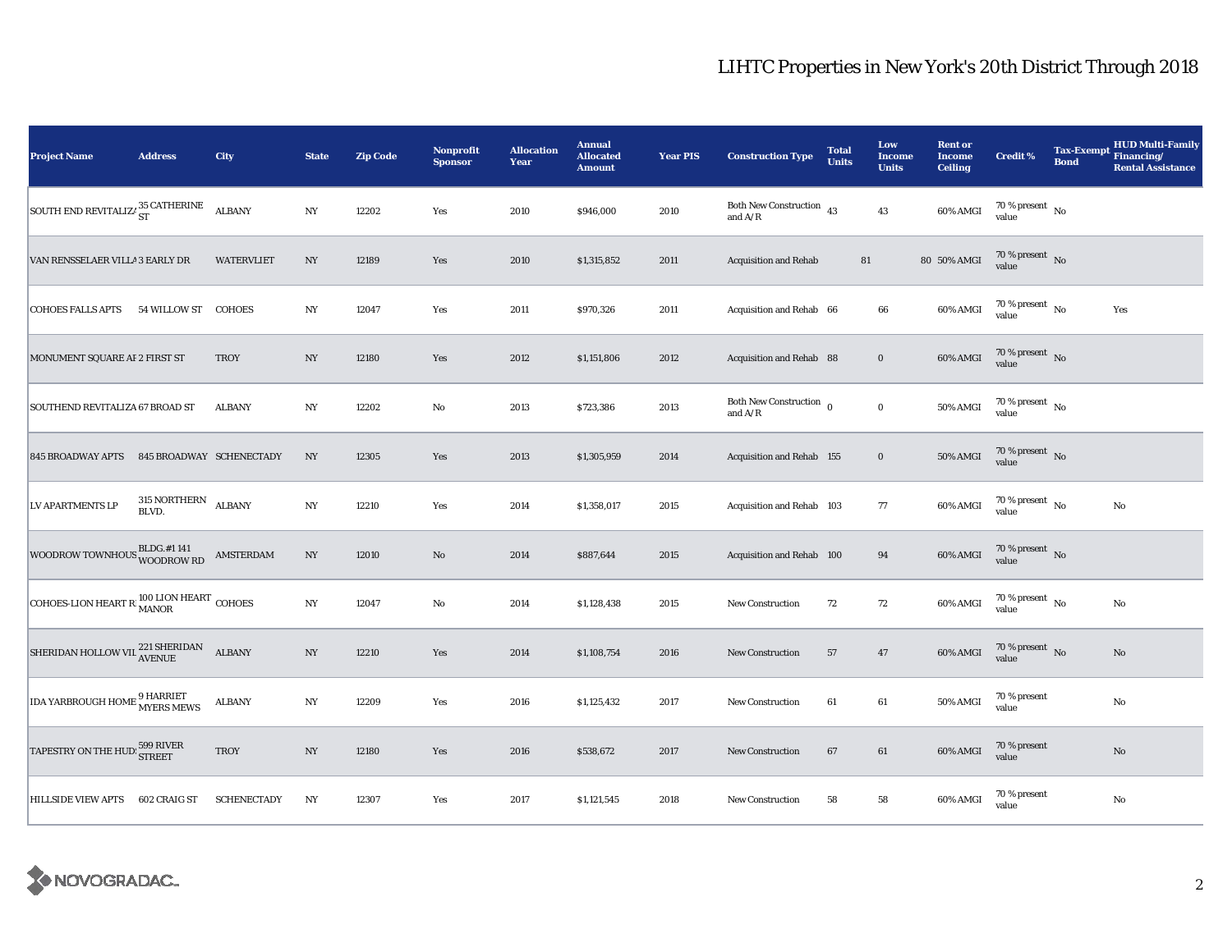| <b>Project Name</b>                             | <b>Address</b>                      | <b>City</b>        | <b>State</b>     | <b>Zip Code</b> | Nonprofit<br><b>Sponsor</b> | <b>Allocation</b><br>Year | <b>Annual</b><br><b>Allocated</b><br><b>Amount</b> | <b>Year PIS</b> | <b>Construction Type</b>                                                               | <b>Total</b><br><b>Units</b> | Low<br><b>Income</b><br><b>Units</b> | <b>Rent or</b><br><b>Income</b><br><b>Ceiling</b> | <b>Credit %</b>                      | <b>Bond</b> | <b>HUD Multi-Family</b><br>Tax-Exempt Financing/<br><b>Rental Assistance</b> |
|-------------------------------------------------|-------------------------------------|--------------------|------------------|-----------------|-----------------------------|---------------------------|----------------------------------------------------|-----------------|----------------------------------------------------------------------------------------|------------------------------|--------------------------------------|---------------------------------------------------|--------------------------------------|-------------|------------------------------------------------------------------------------|
| SOUTH END REVITALIZE $^{35}_{\rm ST}$ CATHERINE |                                     | <b>ALBANY</b>      | $_{\mathrm{NY}}$ | 12202           | Yes                         | 2010                      | \$946,000                                          | 2010            | Both New Construction $\,$ 43<br>and $\ensuremath{\mathrm{A}}/\ensuremath{\mathrm{R}}$ |                              | 43                                   | 60% AMGI                                          | 70 % present $\hbox{~No}$<br>value   |             |                                                                              |
| VAN RENSSELAER VILLA 3 EARLY DR                 |                                     | <b>WATERVLIET</b>  | NY               | 12189           | Yes                         | 2010                      | \$1,315,852                                        | 2011            | <b>Acquisition and Rehab</b>                                                           | 81                           |                                      | 80 50% AMGI                                       | $70\%$ present No<br>value           |             |                                                                              |
| <b>COHOES FALLS APTS</b>                        | 54 WILLOW ST                        | <b>COHOES</b>      | NY               | 12047           | Yes                         | 2011                      | \$970,326                                          | 2011            | Acquisition and Rehab 66                                                               |                              | 66                                   | 60% AMGI                                          | $70$ % present $\,$ No $\,$<br>value |             | Yes                                                                          |
| MONUMENT SQUARE AF 2 FIRST ST                   |                                     | <b>TROY</b>        | NY               | 12180           | Yes                         | 2012                      | \$1,151,806                                        | 2012            | Acquisition and Rehab 88                                                               |                              | $\bf{0}$                             | 60% AMGI                                          | 70 % present $\hbox{~No}$<br>value   |             |                                                                              |
| SOUTHEND REVITALIZA 67 BROAD ST                 |                                     | <b>ALBANY</b>      | $_{\mathrm{NY}}$ | 12202           | No                          | 2013                      | \$723,386                                          | 2013            | Both New Construction $_{0}$<br>and $A/R$                                              |                              | $\mathbf 0$                          | 50% AMGI                                          | 70 % present $\hbox{~No}$<br>value   |             |                                                                              |
| 845 BROADWAY APTS 845 BROADWAY SCHENECTADY      |                                     |                    | NY               | 12305           | Yes                         | 2013                      | \$1,305,959                                        | 2014            | Acquisition and Rehab 155                                                              |                              | $\mathbf 0$                          | 50% AMGI                                          | $70\,\%$ present $${\rm No}$$ value  |             |                                                                              |
| LV APARTMENTS LP                                | $315$ NORTHERN $\quad$ ALBANY BLVD. |                    | $_{\mathrm{NY}}$ | 12210           | Yes                         | 2014                      | \$1,358,017                                        | 2015            | Acquisition and Rehab 103                                                              |                              | $77\,$                               | 60% AMGI                                          | $70$ % present $\,$ No $\,$<br>value |             | $\rm No$                                                                     |
| WOODROW TOWNHOUS BLDG.#1 141                    |                                     | AMSTERDAM          | $_{\mathrm{NY}}$ | 12010           | $\mathbf{N}\mathbf{o}$      | 2014                      | \$887,644                                          | 2015            | Acquisition and Rehab 100                                                              |                              | 94                                   | 60% AMGI                                          | $70\,\%$ present $\,$ No value       |             |                                                                              |
| COHOES-LION HEART R MANOR COHOES                |                                     |                    | $_{\mathrm{NY}}$ | 12047           | $\mathbf{No}$               | 2014                      | \$1,128,438                                        | 2015            | New Construction                                                                       | 72                           | 72                                   | 60% AMGI                                          | $70$ % present $\,$ No $\,$<br>value |             | $\rm No$                                                                     |
| SHERIDAN HOLLOW VIL <sup>221</sup> SHERIDAN     |                                     | <b>ALBANY</b>      | NY               | 12210           | Yes                         | 2014                      | \$1,108,754                                        | 2016            | New Construction                                                                       | 57                           | 47                                   | 60% AMGI                                          | 70 % present $\hbox{~No}$<br>value   |             | $\mathbf{N}\mathbf{o}$                                                       |
| <b>IDA YARBROUGH HOME 9 HARRIET</b>             |                                     | <b>ALBANY</b>      | NY               | 12209           | Yes                         | 2016                      | \$1,125,432                                        | 2017            | <b>New Construction</b>                                                                | 61                           | 61                                   | 50% AMGI                                          | 70 % present<br>value                |             | No                                                                           |
| TAPESTRY ON THE HUD: 599 RIVER                  |                                     | <b>TROY</b>        | $_{\mathrm{NY}}$ | 12180           | Yes                         | 2016                      | \$538,672                                          | 2017            | <b>New Construction</b>                                                                | 67                           | 61                                   | 60% AMGI                                          | 70 % present<br>value                |             | $\rm No$                                                                     |
| <b>HILLSIDE VIEW APTS</b>                       | 602 CRAIG ST                        | <b>SCHENECTADY</b> | NY               | 12307           | Yes                         | 2017                      | \$1,121,545                                        | 2018            | New Construction                                                                       | 58                           | 58                                   | 60% AMGI                                          | 70 % present<br>value                |             | No                                                                           |

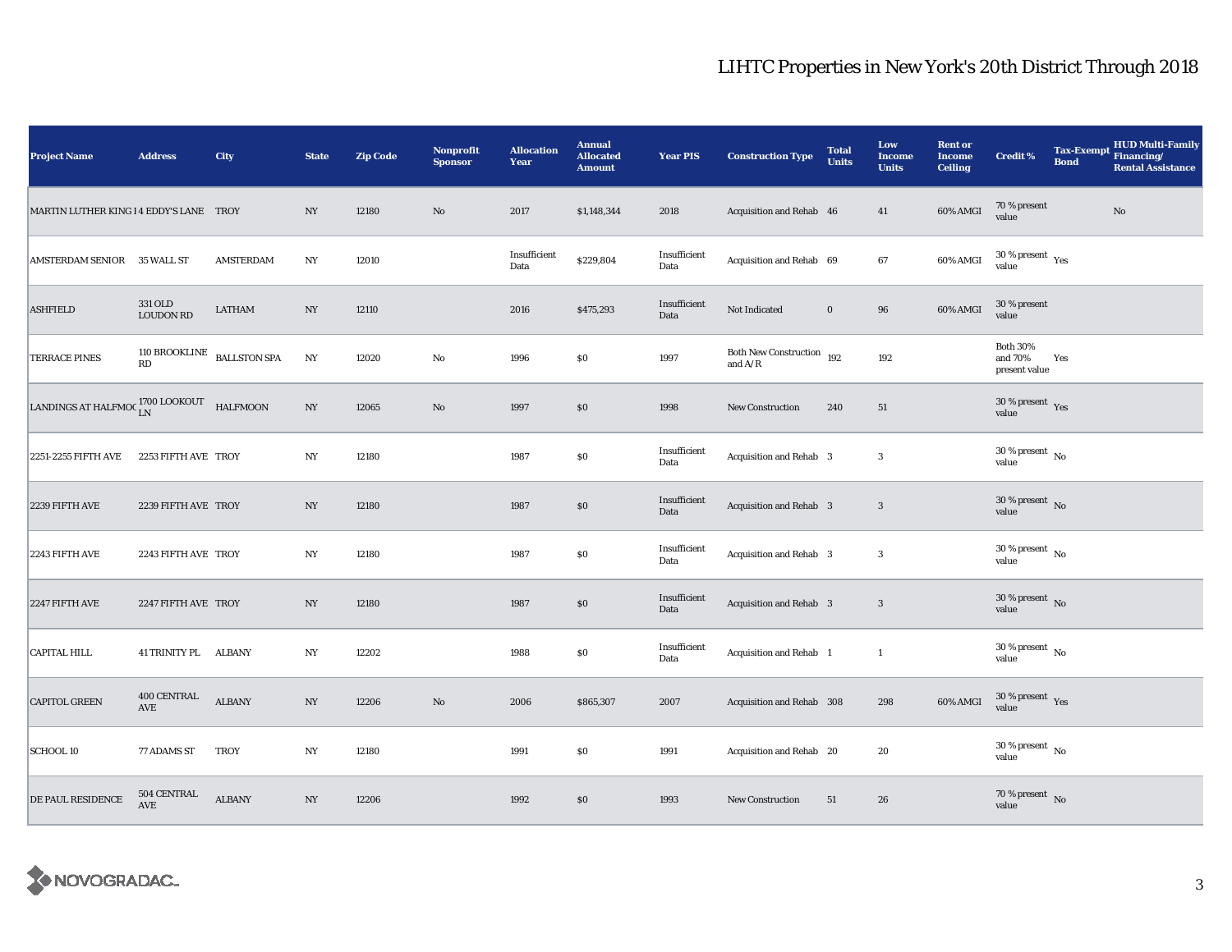| <b>Project Name</b>                                      | <b>Address</b>              | <b>City</b>                          | <b>State</b>     | <b>Zip Code</b> | <b>Nonprofit</b><br><b>Sponsor</b> | <b>Allocation</b><br>Year | <b>Annual</b><br><b>Allocated</b><br><b>Amount</b> | <b>Year PIS</b>      | <b>Construction Type</b>                                                           | <b>Total</b><br><b>Units</b> | Low<br><b>Income</b><br><b>Units</b> | <b>Rent or</b><br><b>Income</b><br><b>Ceiling</b> | <b>Credit %</b>                             | <b>Bond</b> | Tax-Exempt HUD Multi-Family<br><b>Rental Assistance</b> |
|----------------------------------------------------------|-----------------------------|--------------------------------------|------------------|-----------------|------------------------------------|---------------------------|----------------------------------------------------|----------------------|------------------------------------------------------------------------------------|------------------------------|--------------------------------------|---------------------------------------------------|---------------------------------------------|-------------|---------------------------------------------------------|
| MARTIN LUTHER KING 14 EDDY'S LANE TROY                   |                             |                                      | NY               | 12180           | No                                 | 2017                      | \$1,148,344                                        | 2018                 | Acquisition and Rehab 46                                                           |                              | 41                                   | 60% AMGI                                          | 70 % present<br>value                       |             | No                                                      |
| AMSTERDAM SENIOR 35 WALL ST                              |                             | <b>AMSTERDAM</b>                     | NY               | 12010           |                                    | Insufficient<br>Data      | \$229,804                                          | Insufficient<br>Data | Acquisition and Rehab 69                                                           |                              | 67                                   | 60% AMGI                                          | $30\,\%$ present $\,$ Yes value             |             |                                                         |
| <b>ASHFIELD</b>                                          | 331 OLD<br><b>LOUDON RD</b> | <b>LATHAM</b>                        | $_{\mathrm{NY}}$ | 12110           |                                    | 2016                      | \$475,293                                          | Insufficient<br>Data | Not Indicated                                                                      | $\bf{0}$                     | 96                                   | 60% AMGI                                          | 30 % present<br>value                       |             |                                                         |
| <b>TERRACE PINES</b>                                     |                             | $110$ BROOKLINE $\;$ BALLSTON SPA RD | $_{\mathrm{NY}}$ | 12020           | $\rm No$                           | 1996                      | $\$0$                                              | 1997                 | Both New Construction 192<br>and $\ensuremath{\mathrm{A}}/\ensuremath{\mathrm{R}}$ |                              | 192                                  |                                                   | <b>Both 30%</b><br>and 70%<br>present value | Yes         |                                                         |
| LANDINGS AT HALFMOC $_{\rm LN}^{1700\,$ LOOKOUT HALFMOON |                             |                                      | $_{\mathrm{NY}}$ | 12065           | $\mathbf{N}\mathbf{o}$             | 1997                      | $\$0$                                              | 1998                 | <b>New Construction</b>                                                            | 240                          | 51                                   |                                                   | $30\,\%$ present $\,$ Yes value             |             |                                                         |
| 2251-2255 FIFTH AVE                                      | 2253 FIFTH AVE TROY         |                                      | $_{\mathrm{NY}}$ | 12180           |                                    | 1987                      | $\$0$                                              | Insufficient<br>Data | Acquisition and Rehab 3                                                            |                              | 3                                    |                                                   | $30\,\%$ present $\,$ No value              |             |                                                         |
| 2239 FIFTH AVE                                           | 2239 FIFTH AVE TROY         |                                      | NY               | 12180           |                                    | 1987                      | \$0                                                | Insufficient<br>Data | Acquisition and Rehab 3                                                            |                              | $\mathbf{3}$                         |                                                   | $30\,\%$ present $\,$ No value              |             |                                                         |
| 2243 FIFTH AVE                                           | 2243 FIFTH AVE TROY         |                                      | $_{\mathrm{NY}}$ | 12180           |                                    | 1987                      | \$0                                                | Insufficient<br>Data | Acquisition and Rehab 3                                                            |                              | 3                                    |                                                   | $30\,\%$ present $\,$ No value              |             |                                                         |
| 2247 FIFTH AVE                                           | 2247 FIFTH AVE TROY         |                                      | $_{\mathrm{NY}}$ | 12180           |                                    | 1987                      | \$0\$                                              | Insufficient<br>Data | Acquisition and Rehab 3                                                            |                              | $\mathbf{3}$                         |                                                   | $30\,\%$ present $\,$ No value              |             |                                                         |
| <b>CAPITAL HILL</b>                                      | 41 TRINITY PL ALBANY        |                                      | N <sub>Y</sub>   | 12202           |                                    | 1988                      | $\$0$                                              | Insufficient<br>Data | Acquisition and Rehab 1                                                            |                              | $\mathbf{1}$                         |                                                   | $30\,\%$ present $\,$ No value              |             |                                                         |
| <b>CAPITOL GREEN</b>                                     | 400 CENTRAL<br>AVE          | <b>ALBANY</b>                        | NY               | 12206           | $\rm No$                           | 2006                      | \$865,307                                          | 2007                 | Acquisition and Rehab 308                                                          |                              | 298                                  | 60% AMGI                                          | $30\,\%$ present $\,$ Yes value             |             |                                                         |
| <b>SCHOOL 10</b>                                         | 77 ADAMS ST                 | <b>TROY</b>                          | NY               | 12180           |                                    | 1991                      | \$0                                                | 1991                 | Acquisition and Rehab 20                                                           |                              | 20                                   |                                                   | $30\,\%$ present $\,$ No $\,$<br>value      |             |                                                         |
| DE PAUL RESIDENCE                                        | 504 CENTRAL<br>AVE          | <b>ALBANY</b>                        | NY               | 12206           |                                    | 1992                      | \$0                                                | 1993                 | New Construction                                                                   | 51                           | 26                                   |                                                   | $70\,\%$ present $\,$ No value              |             |                                                         |

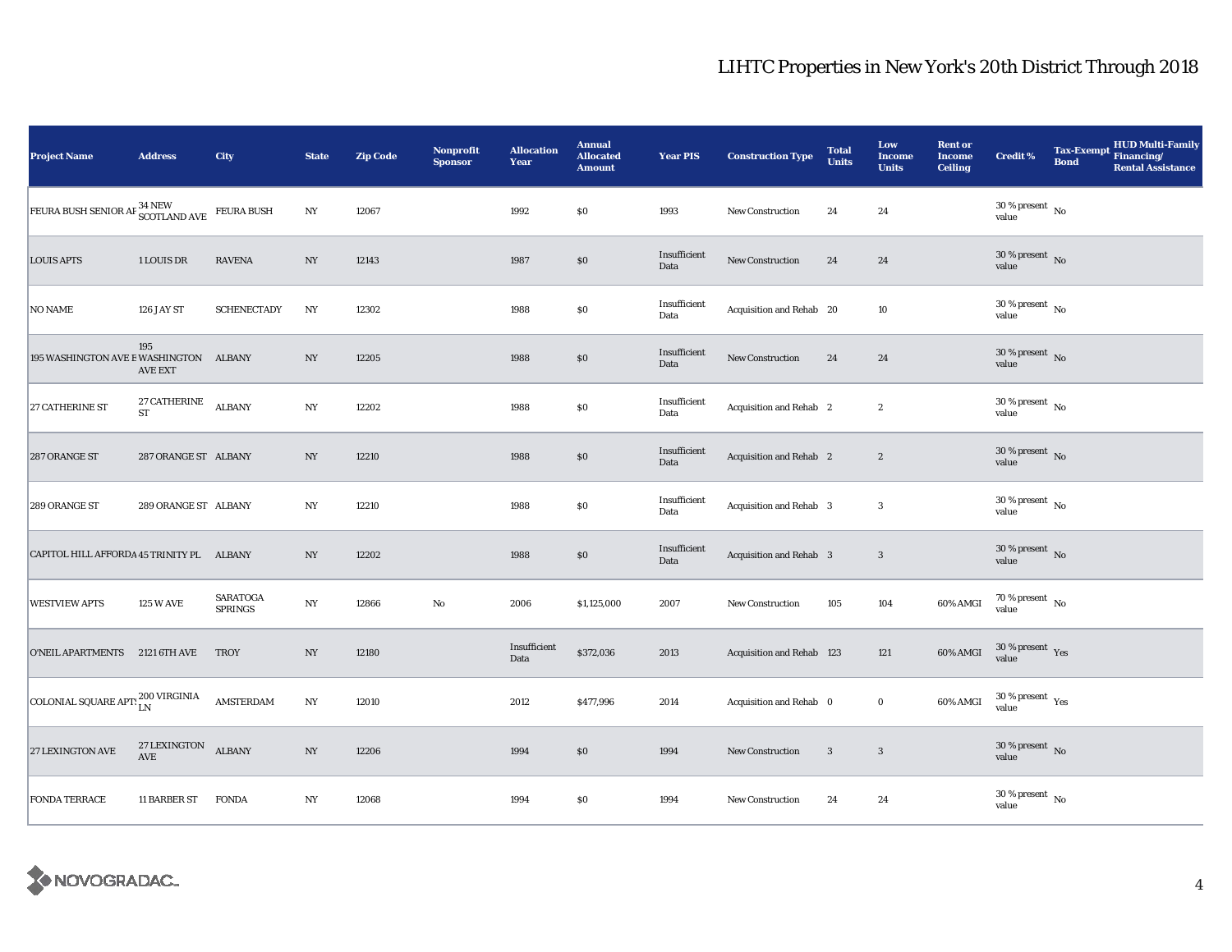| <b>Project Name</b>                                                   | <b>Address</b>               | City                              | <b>State</b>     | <b>Zip Code</b> | <b>Nonprofit</b><br><b>Sponsor</b> | <b>Allocation</b><br>Year | <b>Annual</b><br><b>Allocated</b><br><b>Amount</b> | <b>Year PIS</b>      | <b>Construction Type</b>       | <b>Total</b><br><b>Units</b> | Low<br><b>Income</b><br><b>Units</b> | <b>Rent or</b><br><b>Income</b><br><b>Ceiling</b> | <b>Credit %</b>                          | <b>Bond</b> | Tax-Exempt HUD Multi-Family<br><b>Rental Assistance</b> |
|-----------------------------------------------------------------------|------------------------------|-----------------------------------|------------------|-----------------|------------------------------------|---------------------------|----------------------------------------------------|----------------------|--------------------------------|------------------------------|--------------------------------------|---------------------------------------------------|------------------------------------------|-------------|---------------------------------------------------------|
| FEURA BUSH SENIOR AF <sup>34</sup> NEW SCOTLAND AVE                   |                              | <b>FEURA BUSH</b>                 | NY               | 12067           |                                    | 1992                      | \$0                                                | 1993                 | New Construction               | 24                           | 24                                   |                                                   | $30$ % present $\,$ No $\,$<br>value     |             |                                                         |
| <b>LOUIS APTS</b>                                                     | 1 LOUIS DR                   | <b>RAVENA</b>                     | $_{\mathrm{NY}}$ | 12143           |                                    | 1987                      | \$0                                                | Insufficient<br>Data | New Construction               | 24                           | 24                                   |                                                   | $30\,\%$ present $\,$ No value           |             |                                                         |
| <b>NO NAME</b>                                                        | 126 JAY ST                   | <b>SCHENECTADY</b>                | NY               | 12302           |                                    | 1988                      | \$0                                                | Insufficient<br>Data | Acquisition and Rehab 20       |                              | 10                                   |                                                   | $30$ % present $\,$ No $\,$<br>value     |             |                                                         |
| 195 WASHINGTON AVE EWASHINGTON ALBANY                                 | 195<br><b>AVE EXT</b>        |                                   | $_{\mathrm{NY}}$ | 12205           |                                    | 1988                      | $\$0$                                              | Insufficient<br>Data | <b>New Construction</b>        | 24                           | 24                                   |                                                   | $30\,\%$ present $\,$ No value           |             |                                                         |
| 27 CATHERINE ST                                                       | $27$ CATHERINE<br>${\rm ST}$ | <b>ALBANY</b>                     | N <sub>Y</sub>   | 12202           |                                    | 1988                      | $\$0$                                              | Insufficient<br>Data | Acquisition and Rehab 2        |                              | $\boldsymbol{2}$                     |                                                   | $30\,\%$ present $\,$ No value           |             |                                                         |
| 287 ORANGE ST                                                         | 287 ORANGE ST ALBANY         |                                   | N <sub>Y</sub>   | 12210           |                                    | 1988                      | $\$0$                                              | Insufficient<br>Data | Acquisition and Rehab 2        |                              | $\boldsymbol{2}$                     |                                                   | $30\,\%$ present $\,$ No value           |             |                                                         |
| 289 ORANGE ST                                                         | 289 ORANGE ST ALBANY         |                                   | NY               | 12210           |                                    | 1988                      | $\$0$                                              | Insufficient<br>Data | Acquisition and Rehab 3        |                              | $\boldsymbol{3}$                     |                                                   | $30\,\%$ present $\,$ No value           |             |                                                         |
| CAPITOL HILL AFFORDA 45 TRINITY PL ALBANY                             |                              |                                   | $_{\mathrm{NY}}$ | 12202           |                                    | 1988                      | \$0\$                                              | Insufficient<br>Data | <b>Acquisition and Rehab 3</b> |                              | $\mathbf{3}$                         |                                                   | $30\,\%$ present $\,$ No value           |             |                                                         |
| <b>WESTVIEW APTS</b>                                                  | <b>125 W AVE</b>             | <b>SARATOGA</b><br><b>SPRINGS</b> | NY               | 12866           | $\rm No$                           | 2006                      | \$1,125,000                                        | 2007                 | New Construction               | 105                          | 104                                  | 60% AMGI                                          | $70\,\%$ present $\,$ No value           |             |                                                         |
| O'NEIL APARTMENTS 2121 6TH AVE                                        |                              | <b>TROY</b>                       | $_{\mathrm{NY}}$ | 12180           |                                    | Insufficient<br>Data      | \$372,036                                          | 2013                 | Acquisition and Rehab 123      |                              | 121                                  | 60% AMGI                                          | $30\,\%$ present $\,$ Yes value          |             |                                                         |
| $\boxed{\text{COLONIAL SQUARE APT:}}_{\text{LN}}^{200\text{ VIRGIN}}$ |                              | AMSTERDAM                         | $_{\mathrm{NY}}$ | 12010           |                                    | 2012                      | \$477,996                                          | 2014                 | Acquisition and Rehab 0        |                              | $\mathbf 0$                          | 60% AMGI                                          | $30\,\%$ present $\,$ Yes value          |             |                                                         |
| <b>27 LEXINGTON AVE</b>                                               | 27 LEXINGTON<br>AVE          | ALBANY                            | $_{\mathrm{NY}}$ | 12206           |                                    | 1994                      | \$0                                                | 1994                 | New Construction               | $\mathbf{3}$                 | $\mathbf{3}$                         |                                                   | $30$ % present $\,$ No $\,$<br>value     |             |                                                         |
| <b>FONDA TERRACE</b>                                                  | 11 BARBER ST                 | <b>FONDA</b>                      | NY               | 12068           |                                    | 1994                      | \$0                                                | 1994                 | New Construction               | 24                           | 24                                   |                                                   | $30\,\%$ present $_{\, \rm No}$<br>value |             |                                                         |

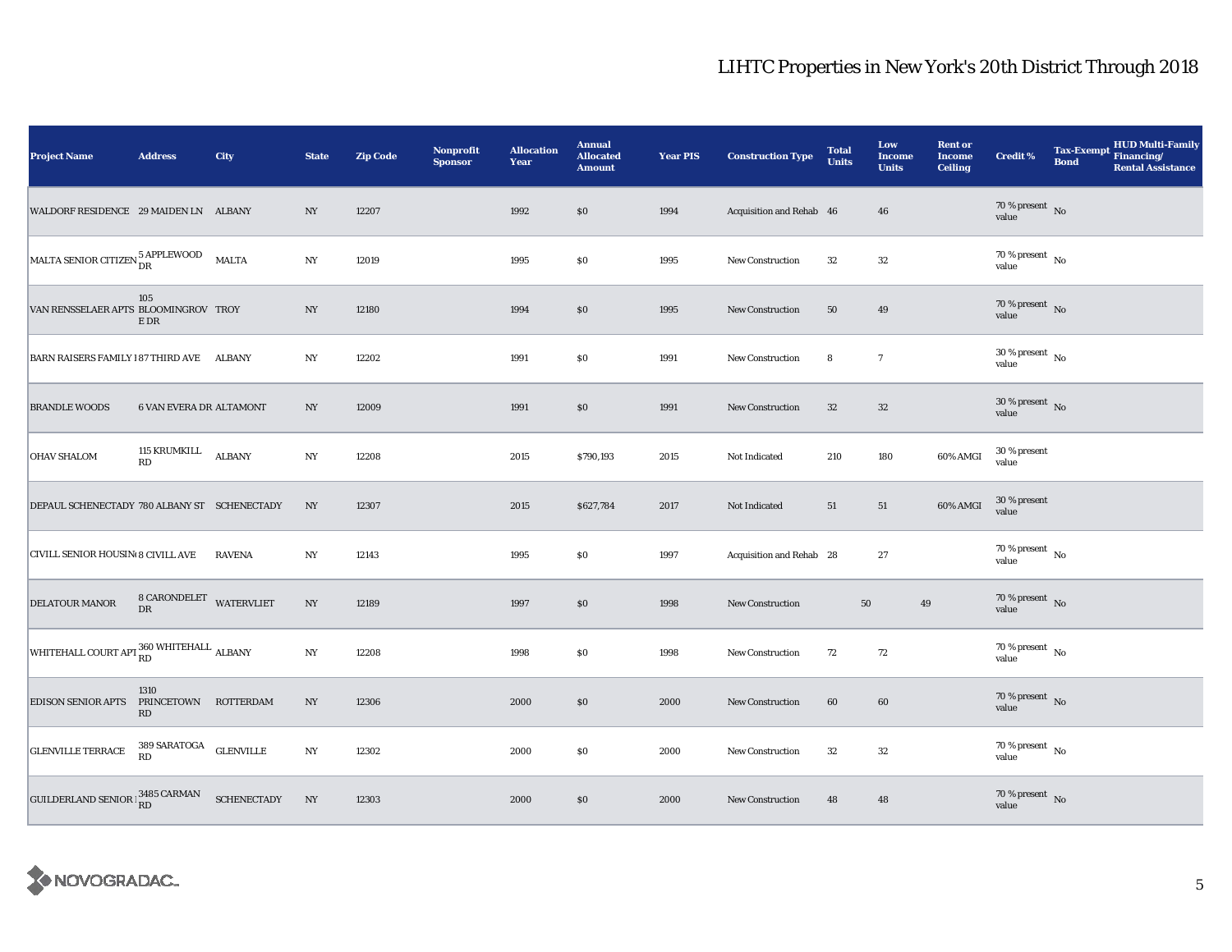| <b>Project Name</b>                                       | <b>Address</b>                                         | City          | <b>State</b>     | <b>Zip Code</b> | <b>Nonprofit</b><br><b>Sponsor</b> | <b>Allocation</b><br>Year | <b>Annual</b><br><b>Allocated</b><br><b>Amount</b> | <b>Year PIS</b> | <b>Construction Type</b> | <b>Total</b><br><b>Units</b> | Low<br><b>Income</b><br><b>Units</b> | <b>Rent or</b><br><b>Income</b><br><b>Ceiling</b> | <b>Credit %</b>                      | Tax-Exempt HUD Multi-Family<br><b>Bond</b><br><b>Rental Assistance</b> |
|-----------------------------------------------------------|--------------------------------------------------------|---------------|------------------|-----------------|------------------------------------|---------------------------|----------------------------------------------------|-----------------|--------------------------|------------------------------|--------------------------------------|---------------------------------------------------|--------------------------------------|------------------------------------------------------------------------|
| WALDORF RESIDENCE 29 MAIDEN LN ALBANY                     |                                                        |               | NY               | 12207           |                                    | 1992                      | \$0                                                | 1994            | Acquisition and Rehab 46 |                              | 46                                   |                                                   | $70\,\%$ present $\,$ No value       |                                                                        |
| MALTA SENIOR CITIZEN $_{\text{DR}}^{5 \text{ APPLEWOOD}}$ |                                                        | <b>MALTA</b>  | NY               | 12019           |                                    | 1995                      | $\$0$                                              | 1995            | <b>New Construction</b>  | 32                           | 32                                   |                                                   | $70$ % present $\,$ No $\,$<br>value |                                                                        |
| VAN RENSSELAER APTS BLOOMINGROV TROY                      | 105<br>$\mathbb E$ DR                                  |               | $_{\mathrm{NY}}$ | 12180           |                                    | 1994                      | \$0                                                | 1995            | New Construction         | 50                           | 49                                   |                                                   | $70\,\%$ present $\,$ No value       |                                                                        |
| BARN RAISERS FAMILY 187 THIRD AVE ALBANY                  |                                                        |               | $_{\mathrm{NY}}$ | 12202           |                                    | 1991                      | \$0                                                | 1991            | New Construction         | 8                            | $\boldsymbol{7}$                     |                                                   | $30\,\%$ present $\,$ No value       |                                                                        |
| <b>BRANDLE WOODS</b>                                      | 6 VAN EVERA DR ALTAMONT                                |               | $_{\mathrm{NY}}$ | 12009           |                                    | 1991                      | \$0                                                | 1991            | <b>New Construction</b>  | $32\,$                       | $32\,$                               |                                                   | $30\,\%$ present $\,$ No value       |                                                                        |
| <b>OHAV SHALOM</b>                                        | 115 KRUMKILL<br>RD                                     | <b>ALBANY</b> | $_{\mathrm{NY}}$ | 12208           |                                    | 2015                      | \$790,193                                          | 2015            | Not Indicated            | 210                          | 180                                  | 60% AMGI                                          | 30 % present<br>value                |                                                                        |
| DEPAUL SCHENECTADY 780 ALBANY ST SCHENECTADY              |                                                        |               | NY               | 12307           |                                    | 2015                      | \$627,784                                          | 2017            | Not Indicated            | 51                           | 51                                   | 60% AMGI                                          | 30 % present<br>value                |                                                                        |
| CIVILL SENIOR HOUSIN 8 CIVILL AVE                         |                                                        | <b>RAVENA</b> | $_{\mathrm{NY}}$ | 12143           |                                    | 1995                      | \$0                                                | 1997            | Acquisition and Rehab 28 |                              | 27                                   |                                                   | $70\,\%$ present $\,$ No value       |                                                                        |
| DELATOUR MANOR                                            | 8 CARONDELET WATERVLIET<br>${\rm DR}$                  |               | NY               | 12189           |                                    | 1997                      | \$0                                                | 1998            | New Construction         | 50                           | 49                                   |                                                   | 70 % present $\overline{N}$<br>value |                                                                        |
| WHITEHALL COURT APT RD WHITEHALL ALBANY                   |                                                        |               | $_{\mathrm{NY}}$ | 12208           |                                    | 1998                      | \$0                                                | 1998            | <b>New Construction</b>  | 72                           | 72                                   |                                                   | $70$ % present $\,$ No $\,$<br>value |                                                                        |
| <b>EDISON SENIOR APTS</b>                                 | 1310<br>PRINCETOWN ROTTERDAM<br>$\mathbf{R}\mathbf{D}$ |               | NY               | 12306           |                                    | 2000                      | $\$0$                                              | 2000            | <b>New Construction</b>  | 60                           | 60                                   |                                                   | $70\,\%$ present $\,$ No value       |                                                                        |
| <b>GLENVILLE TERRACE</b>                                  | $389\,$ SARATOGA $\,$ GLENVILLE RD                     |               | NY               | 12302           |                                    | 2000                      | \$0                                                | 2000            | New Construction         | 32                           | 32                                   |                                                   | 70 % present $\hbox{~No}$<br>value   |                                                                        |
| GUILDERLAND SENIOR $\frac{3485}{RD}$ CARMAN SCHENECTADY   |                                                        |               | NY               | 12303           |                                    | 2000                      | \$0                                                | 2000            | New Construction         | 48                           | 48                                   |                                                   | $70\,\%$ present $\,$ No value       |                                                                        |

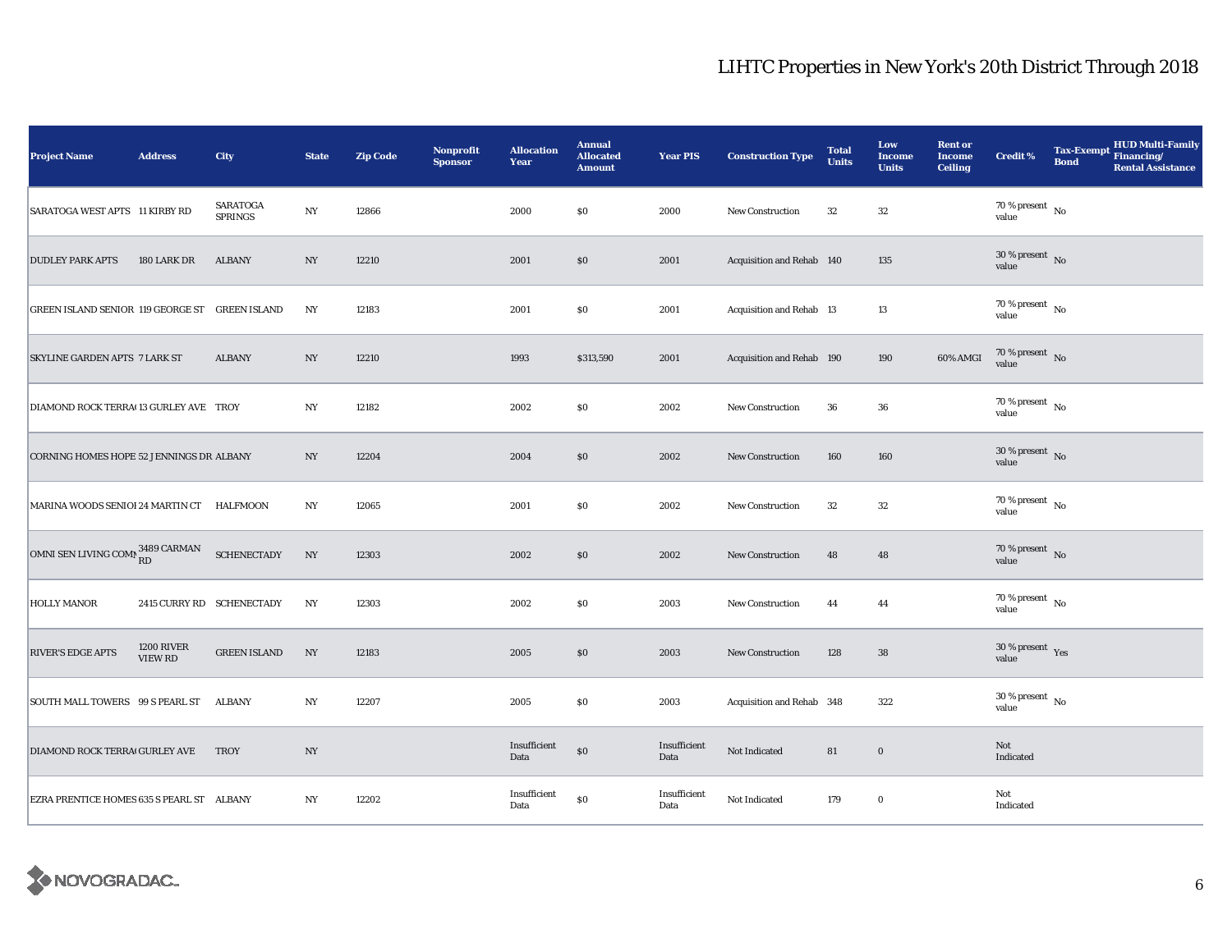| <b>Project Name</b>                            | <b>Address</b>                      | City                              | <b>State</b>     | <b>Zip Code</b> | <b>Nonprofit</b><br><b>Sponsor</b> | <b>Allocation</b><br>Year | <b>Annual</b><br><b>Allocated</b><br><b>Amount</b> | <b>Year PIS</b>      | <b>Construction Type</b>  | <b>Total</b><br><b>Units</b> | Low<br><b>Income</b><br><b>Units</b> | <b>Rent or</b><br><b>Income</b><br><b>Ceiling</b> | <b>Credit %</b>                          | <b>Bond</b> | Tax-Exempt HUD Multi-Family<br><b>Rental Assistance</b> |
|------------------------------------------------|-------------------------------------|-----------------------------------|------------------|-----------------|------------------------------------|---------------------------|----------------------------------------------------|----------------------|---------------------------|------------------------------|--------------------------------------|---------------------------------------------------|------------------------------------------|-------------|---------------------------------------------------------|
| SARATOGA WEST APTS 11 KIRBY RD                 |                                     | <b>SARATOGA</b><br><b>SPRINGS</b> | $_{\mathrm{NY}}$ | 12866           |                                    | 2000                      | $\$0$                                              | 2000                 | <b>New Construction</b>   | 32                           | $32\,$                               |                                                   | $70\,\%$ present $\,$ No value           |             |                                                         |
| <b>DUDLEY PARK APTS</b>                        | 180 LARK DR                         | <b>ALBANY</b>                     | N <sub>Y</sub>   | 12210           |                                    | 2001                      | $\$0$                                              | 2001                 | Acquisition and Rehab 140 |                              | 135                                  |                                                   | 30 % present $\overline{N_0}$<br>value   |             |                                                         |
| GREEN ISLAND SENIOR 119 GEORGE ST GREEN ISLAND |                                     |                                   | NY               | 12183           |                                    | 2001                      | \$0                                                | 2001                 | Acquisition and Rehab 13  |                              | 13                                   |                                                   | $70$ % present $\,$ No $\,$<br>value     |             |                                                         |
| <b>SKYLINE GARDEN APTS 7 LARK ST</b>           |                                     | <b>ALBANY</b>                     | N <sub>Y</sub>   | 12210           |                                    | 1993                      | \$313,590                                          | 2001                 | Acquisition and Rehab 190 |                              | 190                                  | 60% AMGI                                          | 70 % present $\hbox{~No}$<br>value       |             |                                                         |
| DIAMOND ROCK TERRA(13 GURLEY AVE TROY          |                                     |                                   | NY               | 12182           |                                    | 2002                      | $\$0$                                              | 2002                 | New Construction          | 36                           | 36                                   |                                                   | 70 % present $\hbox{~No}$<br>value       |             |                                                         |
| CORNING HOMES HOPE 52 JENNINGS DR ALBANY       |                                     |                                   | $_{\mathrm{NY}}$ | 12204           |                                    | 2004                      | \$0                                                | 2002                 | New Construction          | 160                          | 160                                  |                                                   | $30$ % present $\,$ No $\,$<br>value     |             |                                                         |
| MARINA WOODS SENIOI 24 MARTIN CT HALFMOON      |                                     |                                   | NY               | 12065           |                                    | 2001                      | \$0                                                | 2002                 | <b>New Construction</b>   | 32                           | 32                                   |                                                   | 70 % present $\hbox{~No}$<br>value       |             |                                                         |
| OMNI SEN LIVING COMB $^{3489}_{\rm RD}$ CARMAN |                                     | <b>SCHENECTADY</b>                | NY               | 12303           |                                    | 2002                      | \$0                                                | 2002                 | <b>New Construction</b>   | 48                           | 48                                   |                                                   | $70\,\%$ present $\,$ No value           |             |                                                         |
| <b>HOLLY MANOR</b>                             |                                     | 2415 CURRY RD SCHENECTADY         | NY               | 12303           |                                    | 2002                      | $\$0$                                              | 2003                 | <b>New Construction</b>   | 44                           | 44                                   |                                                   | $70$ % present $\,$ No $\,$<br>value     |             |                                                         |
| <b>RIVER'S EDGE APTS</b>                       | <b>1200 RIVER</b><br><b>VIEW RD</b> | <b>GREEN ISLAND</b>               | NY               | 12183           |                                    | 2005                      | \$0                                                | 2003                 | <b>New Construction</b>   | 128                          | ${\bf 38}$                           |                                                   | $30\,\%$ present $\,$ $\rm Yes$<br>value |             |                                                         |
| SOUTH MALL TOWERS 99 S PEARL ST                |                                     | <b>ALBANY</b>                     | NY               | 12207           |                                    | 2005                      | \$0                                                | 2003                 | Acquisition and Rehab 348 |                              | 322                                  |                                                   | $30\,\%$ present $\,$ No value           |             |                                                         |
| DIAMOND ROCK TERRA(GURLEY AVE                  |                                     | <b>TROY</b>                       | NY               |                 |                                    | Insufficient<br>Data      | $\$0$                                              | Insufficient<br>Data | Not Indicated             | 81                           | $\boldsymbol{0}$                     |                                                   | Not<br>Indicated                         |             |                                                         |
| EZRA PRENTICE HOMES 635 S PEARL ST ALBANY      |                                     |                                   | NY               | 12202           |                                    | Insufficient<br>Data      | $\$0$                                              | Insufficient<br>Data | Not Indicated             | 179                          | $\mathbf 0$                          |                                                   | Not<br>Indicated                         |             |                                                         |